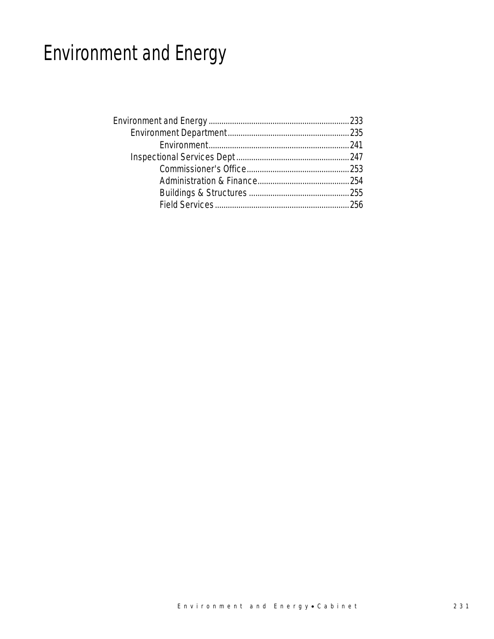# Environment and Energy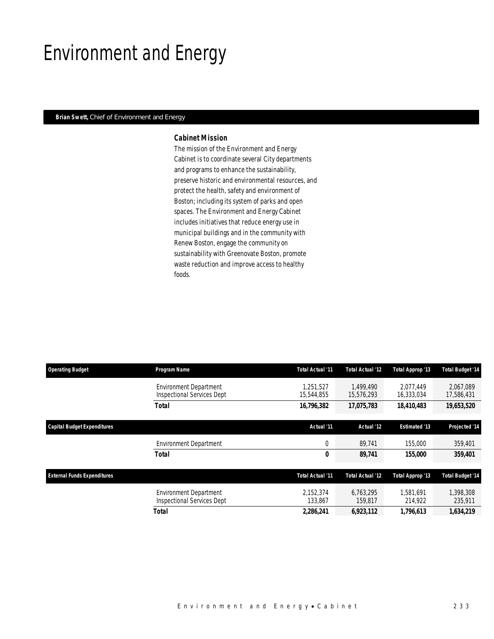## Environment and Energy

### *Brian Swett, Chief of Environment and Energy*

### *Cabinet Mission*

The mission of the Environment and Energy Cabinet is to coordinate several City departments and programs to enhance the sustainability, preserve historic and environmental resources, and protect the health, safety and environment of Boston; including its system of parks and open spaces. The Environment and Energy Cabinet includes initiatives that reduce energy use in municipal buildings and in the community with Renew Boston, engage the community on sustainability with Greenovate Boston, promote waste reduction and improve access to healthy foods.

| <b>Operating Budget</b>                                           | Program Name                                                       | Total Actual '11        | Total Actual '12        | Total Approp '13        | <b>Total Budget '14</b> |
|-------------------------------------------------------------------|--------------------------------------------------------------------|-------------------------|-------------------------|-------------------------|-------------------------|
| Capital Budget Expenditures<br><b>External Funds Expenditures</b> | <b>Environment Department</b><br><b>Inspectional Services Dept</b> | 1.251.527<br>15,544,855 | 1.499.490<br>15,576,293 | 2.077.449<br>16,333,034 | 2.067.089<br>17,586,431 |
|                                                                   | <b>Total</b>                                                       | 16,796,382              | 17,075,783              | 18,410,483              | 19,653,520              |
|                                                                   |                                                                    | Actual '11              | Actual '12              | <b>Estimated '13</b>    | Projected '14           |
|                                                                   | <b>Environment Department</b>                                      | 0                       | 89.741                  | 155,000                 | 359,401                 |
|                                                                   | <b>Total</b>                                                       | 0                       | 89,741                  | 155,000                 | 359,401                 |
|                                                                   |                                                                    | Total Actual '11        | <b>Total Actual '12</b> | Total Approp '13        | <b>Total Budget '14</b> |
|                                                                   | <b>Environment Department</b><br><b>Inspectional Services Dept</b> | 2.152.374<br>133,867    | 6.763.295<br>159,817    | 1.581.691<br>214,922    | 1.398.308<br>235,911    |
|                                                                   | Total                                                              | 2,286,241               | 6,923,112               | 1,796,613               | 1,634,219               |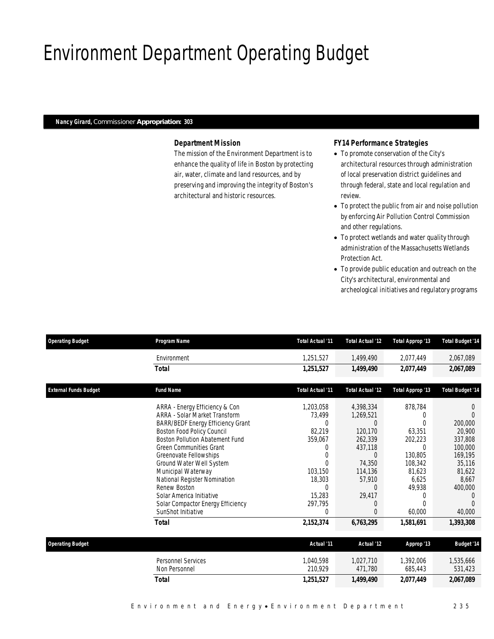# Environment Department Operating Budget

### *Nancy Girard, Commissioner Appropriation: 303*

## *Department Mission*

The mission of the Environment Department is to enhance the quality of life in Boston by protecting air, water, climate and land resources, and by preserving and improving the integrity of Boston's architectural and historic resources.

## *FY14 Performance Strategies*

- To promote conservation of the City's architectural resources through administration of local preservation district guidelines and through federal, state and local regulation and review.
- To protect the public from air and noise pollution by enforcing Air Pollution Control Commission and other regulations.
- To protect wetlands and water quality through administration of the Massachusetts Wetlands Protection Act.
- To provide public education and outreach on the City's architectural, environmental and archeological initiatives and regulatory programs

| <b>Operating Budget</b>      | Program Name                                                                                                                                                                                                                                                                                                                                                                                                              | <b>Total Actual '11</b>                                                                                                                 | Total Actual '12                                                                                                                          | <b>Total Approp '13</b>                                                                                                                     | <b>Total Budget '14</b>                                                                                                                    |
|------------------------------|---------------------------------------------------------------------------------------------------------------------------------------------------------------------------------------------------------------------------------------------------------------------------------------------------------------------------------------------------------------------------------------------------------------------------|-----------------------------------------------------------------------------------------------------------------------------------------|-------------------------------------------------------------------------------------------------------------------------------------------|---------------------------------------------------------------------------------------------------------------------------------------------|--------------------------------------------------------------------------------------------------------------------------------------------|
|                              | Environment                                                                                                                                                                                                                                                                                                                                                                                                               | 1,251,527                                                                                                                               | 1.499.490                                                                                                                                 | 2,077,449                                                                                                                                   | 2,067,089                                                                                                                                  |
|                              | <b>Total</b>                                                                                                                                                                                                                                                                                                                                                                                                              | 1,251,527                                                                                                                               | 1,499,490                                                                                                                                 | 2,077,449                                                                                                                                   | 2,067,089                                                                                                                                  |
| <b>External Funds Budget</b> | <b>Fund Name</b>                                                                                                                                                                                                                                                                                                                                                                                                          | <b>Total Actual '11</b>                                                                                                                 | Total Actual '12                                                                                                                          | <b>Total Approp '13</b>                                                                                                                     | <b>Total Budget '14</b>                                                                                                                    |
|                              | ARRA - Energy Efficiency & Con<br><b>ARRA - Solar Market Transform</b><br><b>BARR/BEDF Energy Efficiency Grant</b><br>Boston Food Policy Council<br><b>Boston Pollution Abatement Fund</b><br><b>Green Communities Grant</b><br>Greenovate Fellowships<br>Ground Water Well System<br>Municipal Waterway<br>National Register Nomination<br>Renew Boston<br>Solar America Initiative<br>Solar Compactor Energy Efficiency | 1,203,058<br>73,499<br>$\Omega$<br>82.219<br>359,067<br>0<br>$\Omega$<br>$\Omega$<br>103,150<br>18,303<br>$\Omega$<br>15,283<br>297,795 | 4,398,334<br>1,269,521<br>$\Omega$<br>120.170<br>262,339<br>437,118<br>$\Omega$<br>74,350<br>114,136<br>57,910<br>$\Omega$<br>29,417<br>0 | 878,784<br>$\Omega$<br>$\Omega$<br>63.351<br>202,223<br>$\Omega$<br>130.805<br>108,342<br>81.623<br>6.625<br>49,938<br>$\Omega$<br>$\Omega$ | $\Omega$<br>$\Omega$<br>200,000<br>20,900<br>337,808<br>100,000<br>169.195<br>35,116<br>81,622<br>8.667<br>400,000<br>$\left($<br>$\Omega$ |
|                              | SunShot Initiative                                                                                                                                                                                                                                                                                                                                                                                                        | $\theta$                                                                                                                                | $\Omega$                                                                                                                                  | 60,000                                                                                                                                      | 40,000                                                                                                                                     |
|                              | <b>Total</b>                                                                                                                                                                                                                                                                                                                                                                                                              | 2,152,374                                                                                                                               | 6,763,295                                                                                                                                 | 1,581,691                                                                                                                                   | 1,393,308                                                                                                                                  |
| <b>Operating Budget</b>      |                                                                                                                                                                                                                                                                                                                                                                                                                           | Actual '11                                                                                                                              | Actual '12                                                                                                                                | Approp '13                                                                                                                                  | <b>Budget '14</b>                                                                                                                          |
|                              | <b>Personnel Services</b><br>Non Personnel                                                                                                                                                                                                                                                                                                                                                                                | 1.040.598<br>210,929                                                                                                                    | 1.027.710<br>471,780                                                                                                                      | 1,392,006<br>685,443                                                                                                                        | 1,535,666<br>531,423                                                                                                                       |
|                              | <b>Total</b>                                                                                                                                                                                                                                                                                                                                                                                                              | 1,251,527                                                                                                                               | 1,499,490                                                                                                                                 | 2,077,449                                                                                                                                   | 2,067,089                                                                                                                                  |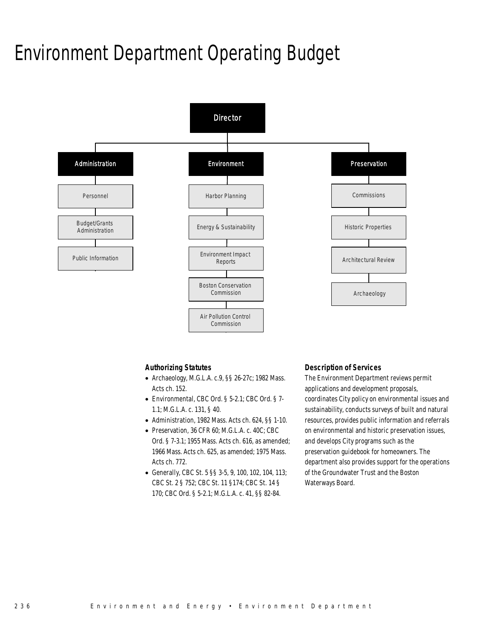## Environment Department Operating Budget



### *Authorizing Statutes*

- Archaeology, M.G.L.A. c.9, §§ 26-27c; 1982 Mass. Acts ch. 152.
- Environmental, CBC Ord. § 5-2.1; CBC Ord. § 7- 1.1; M.G.L.A. c. 131, § 40.
- Administration, 1982 Mass. Acts ch. 624, §§ 1-10.
- Preservation, 36 CFR 60; M.G.L.A. c. 40C; CBC Ord. § 7-3.1; 1955 Mass. Acts ch. 616, as amended; 1966 Mass. Acts ch. 625, as amended; 1975 Mass. Acts ch. 772.
- Generally, CBC St. 5 §§ 3-5, 9, 100, 102, 104, 113; CBC St. 2 § 752; CBC St. 11 §174; CBC St. 14 § 170; CBC Ord. § 5-2.1; M.G.L.A. c. 41, §§ 82-84.

### *Description of Services*

The Environment Department reviews permit applications and development proposals, coordinates City policy on environmental issues and sustainability, conducts surveys of built and natural resources, provides public information and referrals on environmental and historic preservation issues, and develops City programs such as the preservation guidebook for homeowners. The department also provides support for the operations of the Groundwater Trust and the Boston Waterways Board.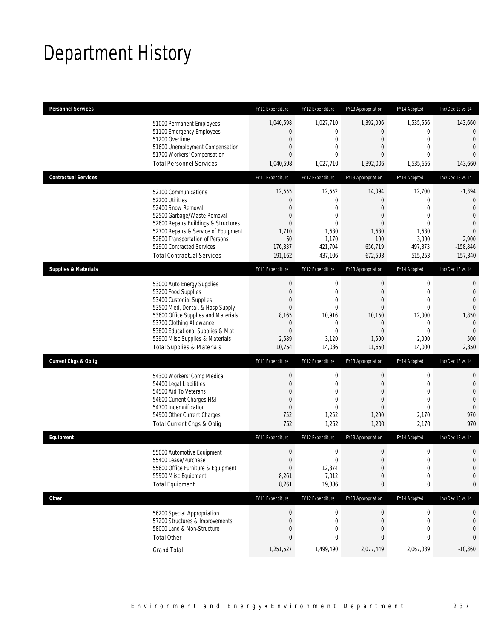# Department History

| <b>Personnel Services</b>                                                                                                                                                                                                                                                                            | FY11 Expenditure                                                                                             | FY12 Expenditure                                                                                                      | FY13 Appropriation                                                                                                          | FY14 Adopted                                                                                                        | Inc/Dec 13 vs 14                                                                                                     |
|------------------------------------------------------------------------------------------------------------------------------------------------------------------------------------------------------------------------------------------------------------------------------------------------------|--------------------------------------------------------------------------------------------------------------|-----------------------------------------------------------------------------------------------------------------------|-----------------------------------------------------------------------------------------------------------------------------|---------------------------------------------------------------------------------------------------------------------|----------------------------------------------------------------------------------------------------------------------|
| 51000 Permanent Employees<br>51100 Emergency Employees<br>51200 Overtime<br>51600 Unemployment Compensation<br>51700 Workers' Compensation<br><b>Total Personnel Services</b>                                                                                                                        | 1,040,598<br>$\overline{0}$<br>$\boldsymbol{0}$<br>0<br>$\overline{0}$<br>1,040,598                          | 1,027,710<br>$\mathbf 0$<br>$\mathbf 0$<br>$\mathbf{0}$<br>$\mathbf{0}$<br>1,027,710                                  | 1,392,006<br>$\overline{0}$<br>$\mathbf 0$<br>$\theta$<br>$\theta$<br>1,392,006                                             | 1,535,666<br>0<br>$\mathbf 0$<br>$\mathbf{0}$<br>$\Omega$<br>1,535,666                                              | 143,660<br>$\overline{0}$<br>$\mathbf{0}$<br>$\overline{0}$<br>$\Omega$<br>143,660                                   |
| <b>Contractual Services</b>                                                                                                                                                                                                                                                                          | FY11 Expenditure                                                                                             | FY12 Expenditure                                                                                                      | FY13 Appropriation                                                                                                          | FY14 Adopted                                                                                                        | Inc/Dec 13 vs 14                                                                                                     |
| 52100 Communications<br>52200 Utilities<br>52400 Snow Removal<br>52500 Garbage/Waste Removal<br>52600 Repairs Buildings & Structures<br>52700 Repairs & Service of Equipment<br>52800 Transportation of Persons<br>52900 Contracted Services<br><b>Total Contractual Services</b>                    | 12,555<br>0<br>$\overline{0}$<br>0<br>$\overline{0}$<br>1,710<br>60<br>176,837<br>191,162                    | 12,552<br>$\mathbf 0$<br>$\mathbf{0}$<br>$\mathbf 0$<br>$\mathbf 0$<br>1,680<br>1,170<br>421,704<br>437,106           | 14,094<br>$\theta$<br>$\theta$<br>$\theta$<br>$\theta$<br>1,680<br>100<br>656,719<br>672,593                                | 12,700<br>0<br>$\overline{0}$<br>$\mathbf{0}$<br>$\mathbf{0}$<br>1,680<br>3,000<br>497,873<br>515,253               | $-1,394$<br>0<br>$\overline{0}$<br>$\overline{0}$<br>$\overline{0}$<br>$\Omega$<br>2,900<br>$-158,846$<br>$-157,340$ |
| <b>Supplies &amp; Materials</b>                                                                                                                                                                                                                                                                      | FY11 Expenditure                                                                                             | FY12 Expenditure                                                                                                      | FY13 Appropriation                                                                                                          | FY14 Adopted                                                                                                        | Inc/Dec 13 vs 14                                                                                                     |
| 53000 Auto Energy Supplies<br>53200 Food Supplies<br>53400 Custodial Supplies<br>53500 Med, Dental, & Hosp Supply<br>53600 Office Supplies and Materials<br>53700 Clothing Allowance<br>53800 Educational Supplies & Mat<br>53900 Misc Supplies & Materials<br><b>Total Supplies &amp; Materials</b> | $\boldsymbol{0}$<br>$\boldsymbol{0}$<br>0<br>$\overline{0}$<br>8,165<br>0<br>$\mathbf{0}$<br>2,589<br>10,754 | $\mathbf 0$<br>$\mathbf 0$<br>$\mathbf 0$<br>$\mathbf{0}$<br>10,916<br>$\mathbf 0$<br>$\mathbf{0}$<br>3,120<br>14,036 | $\boldsymbol{0}$<br>$\overline{0}$<br>$\theta$<br>$\overline{0}$<br>10,150<br>$\theta$<br>$\overline{0}$<br>1,500<br>11,650 | $\boldsymbol{0}$<br>$\mathbf 0$<br>$\mathbf{0}$<br>$\mathbf{0}$<br>12,000<br>0<br>$\overline{0}$<br>2,000<br>14,000 | $\mathbf{0}$<br>$\mathbf{0}$<br>$\overline{0}$<br>$\Omega$<br>1,850<br>$\mathbf{0}$<br>$\mathbf{0}$<br>500<br>2,350  |
| <b>Current Chgs &amp; Oblig</b>                                                                                                                                                                                                                                                                      | FY11 Expenditure                                                                                             | FY12 Expenditure                                                                                                      | FY13 Appropriation                                                                                                          | FY14 Adopted                                                                                                        | Inc/Dec 13 vs 14                                                                                                     |
| 54300 Workers' Comp Medical<br>54400 Legal Liabilities<br>54500 Aid To Veterans<br>54600 Current Charges H&I<br>54700 Indemnification<br>54900 Other Current Charges<br>Total Current Chgs & Oblig                                                                                                   | $\boldsymbol{0}$<br>$\boldsymbol{0}$<br>0<br>$\mathbf 0$<br>$\overline{0}$<br>752<br>752                     | $\mathbf 0$<br>$\mathbf 0$<br>$\mathbf 0$<br>$\mathbf 0$<br>$\mathbf{0}$<br>1,252<br>1,252                            | $\boldsymbol{0}$<br>$\mathbf 0$<br>$\theta$<br>$\overline{0}$<br>$\overline{0}$<br>1,200<br>1,200                           | $\boldsymbol{0}$<br>$\mathbf 0$<br>$\mathbf{0}$<br>$\overline{0}$<br>$\mathbf{0}$<br>2,170<br>2,170                 | $\mathbf 0$<br>$\mathbf 0$<br>$\overline{0}$<br>$\overline{0}$<br>$\mathbf{0}$<br>970<br>970                         |
| Equipment                                                                                                                                                                                                                                                                                            | FY11 Expenditure                                                                                             | FY12 Expenditure                                                                                                      | FY13 Appropriation                                                                                                          | FY14 Adopted                                                                                                        | Inc/Dec 13 vs 14                                                                                                     |
| 55000 Automotive Equipment<br>55400 Lease/Purchase<br>55600 Office Furniture & Equipment<br>55900 Misc Equipment<br><b>Total Equipment</b>                                                                                                                                                           | $\boldsymbol{0}$<br>$\Omega$<br>$\boldsymbol{0}$<br>8,261<br>8,261                                           | $\mathbf 0$<br>0<br>12,374<br>7,012<br>19,386                                                                         | $\boldsymbol{0}$<br>$\overline{0}$<br>$\boldsymbol{0}$<br>$\theta$<br>0                                                     | $\boldsymbol{0}$<br>$\mathbf 0$<br>$\boldsymbol{0}$<br>$\mathbf 0$<br>0                                             | $\mathbf 0$<br>$\overline{0}$<br>$\mathbf 0$<br>$\mathbf 0$<br>0                                                     |
| <b>Other</b>                                                                                                                                                                                                                                                                                         | FY11 Expenditure                                                                                             | FY12 Expenditure                                                                                                      | FY13 Appropriation                                                                                                          | FY14 Adopted                                                                                                        | Inc/Dec 13 vs 14                                                                                                     |
| 56200 Special Appropriation<br>57200 Structures & Improvements<br>58000 Land & Non-Structure<br><b>Total Other</b>                                                                                                                                                                                   | $\boldsymbol{0}$<br>0<br>$\mathbf 0$<br>0                                                                    | 0<br>0<br>$\mathbf 0$<br>0                                                                                            | $\boldsymbol{0}$<br>$\mathbf 0$<br>$\mathbf 0$<br>0                                                                         | 0<br>0<br>0<br>0                                                                                                    | 0<br>0<br>0<br>0                                                                                                     |
| <b>Grand Total</b>                                                                                                                                                                                                                                                                                   | 1,251,527                                                                                                    | 1,499,490                                                                                                             | 2,077,449                                                                                                                   | 2,067,089                                                                                                           | $-10,360$                                                                                                            |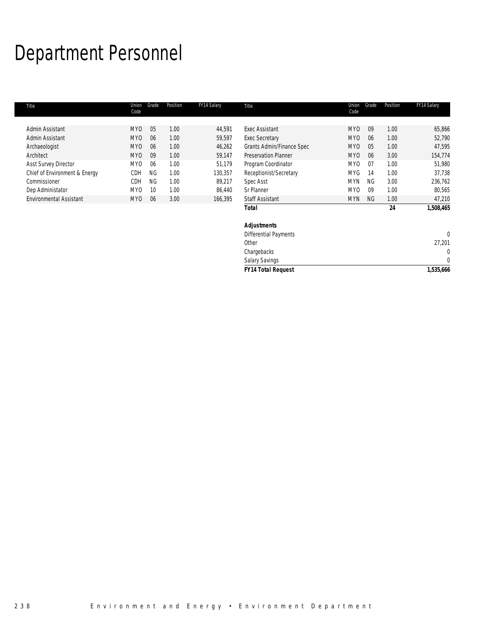# Department Personnel

I.

| Title                         | Union<br>Code   | Grade     | Position | FY14 Salary | Title                        | Union<br>Code   | Grade     | Position | FY14 Salary |
|-------------------------------|-----------------|-----------|----------|-------------|------------------------------|-----------------|-----------|----------|-------------|
|                               |                 |           |          |             |                              |                 |           |          |             |
| Admin Assistant               | MY <sub>0</sub> | 05        | 1.00     | 44,591      | <b>Exec Assistant</b>        | MY <sub>0</sub> | 09        | 1.00     | 65,866      |
| Admin Assistant               | MY <sub>0</sub> | 06        | 1.00     | 59,597      | <b>Exec Secretary</b>        | MY <sub>0</sub> | 06        | 1.00     | 52,790      |
| Archaeologist                 | MY <sub>0</sub> | 06        | 1.00     | 46,262      | Grants Admin/Finance Spec    | MY <sub>0</sub> | 05        | 1.00     | 47,595      |
| Architect                     | MY <sub>0</sub> | 09        | 1.00     | 59,147      | <b>Preservation Planner</b>  | MY <sub>0</sub> | 06        | 3.00     | 154,774     |
| <b>Asst Survey Director</b>   | <b>MYO</b>      | 06        | 1.00     | 51.179      | Program Coordinator          | MY <sub>0</sub> | 07        | 1.00     | 51,980      |
| Chief of Environment & Energy | CDH             | <b>NG</b> | 1.00     | 130,357     | Receptionist/Secretary       | <b>MYG</b>      | 14        | 1.00     | 37,738      |
| Commissioner                  | CDH             | <b>NG</b> | 1.00     | 89,217      | Spec Asst                    | <b>MYN</b>      | NG        | 3.00     | 236,762     |
| Dep Administator              | MY <sub>0</sub> | 10        | 1.00     | 86,440      | Sr Planner                   | MY <sub>0</sub> | 09        | 1.00     | 80,565      |
| Environmental Assistant       | MY <sub>0</sub> | 06        | 3.00     | 166,395     | <b>Staff Assistant</b>       | <b>MYN</b>      | <b>NG</b> | 1.00     | 47,210      |
|                               |                 |           |          |             | Total                        |                 |           | 24       | 1,508,465   |
|                               |                 |           |          |             | <b>Adjustments</b>           |                 |           |          |             |
|                               |                 |           |          |             | <b>Differential Payments</b> |                 |           |          | $\theta$    |
|                               |                 |           |          |             | Other                        |                 |           |          | 27,201      |
|                               |                 |           |          |             | Chargebacks                  |                 |           |          | 0           |

Salary Savings 0 *FY14 Total Request 1,535,666*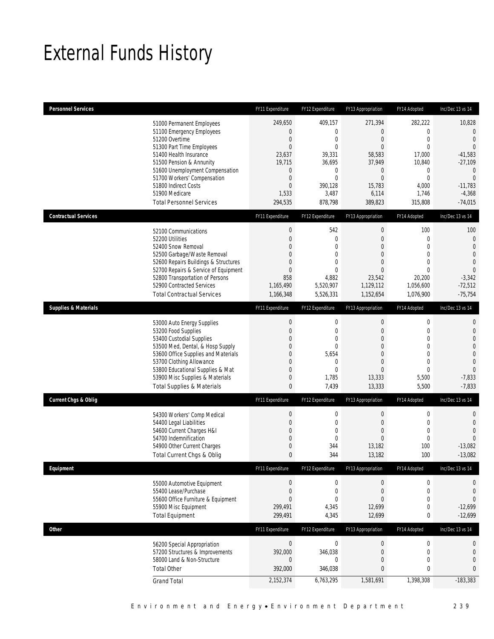# External Funds History

| <b>Personnel Services</b>       |                                                                                                                                                                                                                                                                                                            | FY11 Expenditure                                                                                                                                          | FY12 Expenditure                                                                                                         | FY13 Appropriation                                                                                                     | FY14 Adopted                                                                                                                            | Inc/Dec 13 vs 14                                                                                                                                     |
|---------------------------------|------------------------------------------------------------------------------------------------------------------------------------------------------------------------------------------------------------------------------------------------------------------------------------------------------------|-----------------------------------------------------------------------------------------------------------------------------------------------------------|--------------------------------------------------------------------------------------------------------------------------|------------------------------------------------------------------------------------------------------------------------|-----------------------------------------------------------------------------------------------------------------------------------------|------------------------------------------------------------------------------------------------------------------------------------------------------|
|                                 | 51000 Permanent Employees<br>51100 Emergency Employees<br>51200 Overtime<br>51300 Part Time Employees<br>51400 Health Insurance<br>51500 Pension & Annunity<br>51600 Unemployment Compensation<br>51700 Workers' Compensation<br>51800 Indirect Costs<br>51900 Medicare<br><b>Total Personnel Services</b> | 249,650<br>$\mathbf 0$<br>$\boldsymbol{0}$<br>$\mathbf{0}$<br>23,637<br>19,715<br>$\boldsymbol{0}$<br>$\boldsymbol{0}$<br>$\mathbf 0$<br>1,533<br>294,535 | 409,157<br>0<br>$\mathbf 0$<br>$\theta$<br>39,331<br>36,695<br>$\mathbf 0$<br>$\mathbf 0$<br>390,128<br>3,487<br>878,798 | 271,394<br>0<br>$\mathbf 0$<br>$\overline{0}$<br>58,583<br>37,949<br>0<br>$\overline{0}$<br>15,783<br>6,114<br>389,823 | 282,222<br>$\mathbf 0$<br>$\mathbf 0$<br>$\mathbf{0}$<br>17,000<br>10,840<br>$\mathbf 0$<br>$\overline{0}$<br>4,000<br>1,746<br>315,808 | 10,828<br>$\mathbf{0}$<br>$\mathbf{0}$<br>$\mathbf{0}$<br>$-41,583$<br>$-27,109$<br>$\Omega$<br>$\overline{0}$<br>$-11,783$<br>$-4,368$<br>$-74,015$ |
| <b>Contractual Services</b>     |                                                                                                                                                                                                                                                                                                            | FY11 Expenditure                                                                                                                                          | FY12 Expenditure                                                                                                         | FY13 Appropriation                                                                                                     | FY14 Adopted                                                                                                                            | Inc/Dec 13 vs 14                                                                                                                                     |
|                                 | 52100 Communications<br>52200 Utilities<br>52400 Snow Removal<br>52500 Garbage/Waste Removal<br>52600 Repairs Buildings & Structures<br>52700 Repairs & Service of Equipment<br>52800 Transportation of Persons<br>52900 Contracted Services<br><b>Total Contractual Services</b>                          | $\boldsymbol{0}$<br>$\boldsymbol{0}$<br>$\boldsymbol{0}$<br>0<br>0<br>$\overline{0}$<br>858<br>1,165,490<br>1,166,348                                     | 542<br>$\boldsymbol{0}$<br>$\overline{0}$<br>$\mathbf{0}$<br>0<br>$\overline{0}$<br>4,882<br>5,520,907<br>5,526,331      | $\boldsymbol{0}$<br>$\overline{0}$<br>$\mathbf 0$<br>0<br>0<br>$\overline{0}$<br>23,542<br>1,129,112<br>1,152,654      | 100<br>$\mathbf 0$<br>$\mathbf 0$<br>$\mathbf{0}$<br>$\mathbf{0}$<br>$\mathbf{0}$<br>20,200<br>1,056,600<br>1,076,900                   | 100<br>$\mathbf{0}$<br>$\mathbf{0}$<br>$\overline{0}$<br>$\mathbf{0}$<br>$\Omega$<br>$-3,342$<br>$-72,512$<br>$-75,754$                              |
| <b>Supplies &amp; Materials</b> |                                                                                                                                                                                                                                                                                                            | FY11 Expenditure                                                                                                                                          | FY12 Expenditure                                                                                                         | FY13 Appropriation                                                                                                     | FY14 Adopted                                                                                                                            | Inc/Dec 13 vs 14                                                                                                                                     |
|                                 | 53000 Auto Energy Supplies<br>53200 Food Supplies<br>53400 Custodial Supplies<br>53500 Med, Dental, & Hosp Supply<br>53600 Office Supplies and Materials<br>53700 Clothing Allowance<br>53800 Educational Supplies & Mat<br>53900 Misc Supplies & Materials<br><b>Total Supplies &amp; Materials</b>       | $\boldsymbol{0}$<br>$\boldsymbol{0}$<br>$\boldsymbol{0}$<br>0<br>$\overline{0}$<br>0<br>$\overline{0}$<br>$\boldsymbol{0}$<br>$\bf{0}$                    | $\boldsymbol{0}$<br>$\mathbf 0$<br>$\mathbf 0$<br>$\overline{0}$<br>5,654<br>$\mathbf 0$<br>0<br>1,785<br>7,439          | $\boldsymbol{0}$<br>0<br>$\overline{0}$<br>$\overline{0}$<br>$\Omega$<br>0<br>$\Omega$<br>13,333<br>13,333             | $\mathbf 0$<br>$\mathbf 0$<br>$\mathbf 0$<br>$\mathbf{0}$<br>$\mathbf{0}$<br>$\mathbf{0}$<br>$\mathbf{0}$<br>5,500<br>5,500             | $\mathbf{0}$<br>$\mathbf{0}$<br>$\overline{0}$<br>$\mathbf{0}$<br>$\overline{0}$<br>$\overline{0}$<br>$\theta$<br>$-7,833$<br>$-7,833$               |
| <b>Current Chgs &amp; Oblig</b> |                                                                                                                                                                                                                                                                                                            | FY11 Expenditure                                                                                                                                          | FY12 Expenditure                                                                                                         | FY13 Appropriation                                                                                                     | FY14 Adopted                                                                                                                            | Inc/Dec 13 vs 14                                                                                                                                     |
|                                 | 54300 Workers' Comp Medical<br>54400 Legal Liabilities<br>54600 Current Charges H&I<br>54700 Indemnification<br>54900 Other Current Charges<br>Total Current Chgs & Oblig                                                                                                                                  | $\boldsymbol{0}$<br>$\boldsymbol{0}$<br>$\boldsymbol{0}$<br>0<br>0<br>$\mathbf{0}$                                                                        | $\boldsymbol{0}$<br>$\boldsymbol{0}$<br>$\mathbf 0$<br>0<br>344<br>344                                                   | $\boldsymbol{0}$<br>$\overline{0}$<br>$\boldsymbol{0}$<br>$\overline{0}$<br>13,182<br>13,182                           | $\mathbf 0$<br>$\mathbf 0$<br>$\mathbf 0$<br>$\mathbf 0$<br>100<br>100                                                                  | $\mathbf{0}$<br>$\mathbf{0}$<br>$\overline{0}$<br>$\overline{0}$<br>$-13,082$<br>$-13,082$                                                           |
| Equipment                       |                                                                                                                                                                                                                                                                                                            | FY11 Expenditure                                                                                                                                          | FY12 Expenditure                                                                                                         | FY13 Appropriation                                                                                                     | FY14 Adopted                                                                                                                            | Inc/Dec 13 vs 14                                                                                                                                     |
|                                 | 55000 Automotive Equipment<br>55400 Lease/Purchase<br>55600 Office Furniture & Equipment<br>55900 Misc Equipment<br><b>Total Equipment</b>                                                                                                                                                                 | $\boldsymbol{0}$<br>$\boldsymbol{0}$<br>0<br>299,491<br>299,491                                                                                           | $\boldsymbol{0}$<br>$\boldsymbol{0}$<br>0<br>4,345<br>4,345                                                              | $\boldsymbol{0}$<br>$\boldsymbol{0}$<br>0<br>12,699<br>12,699                                                          | $\boldsymbol{0}$<br>$\mathbf 0$<br>$\mathbf 0$<br>$\boldsymbol{0}$<br>0                                                                 | $\mathbf{0}$<br>$\mathbf{0}$<br>$\overline{0}$<br>$-12,699$<br>$-12,699$                                                                             |
| <b>Other</b>                    |                                                                                                                                                                                                                                                                                                            | FY11 Expenditure                                                                                                                                          | FY12 Expenditure                                                                                                         | FY13 Appropriation                                                                                                     | FY14 Adopted                                                                                                                            | Inc/Dec 13 vs 14                                                                                                                                     |
|                                 | 56200 Special Appropriation<br>57200 Structures & Improvements<br>58000 Land & Non-Structure<br><b>Total Other</b>                                                                                                                                                                                         | $\boldsymbol{0}$<br>392,000<br>$\mathbf 0$<br>392,000                                                                                                     | $\boldsymbol{0}$<br>346,038<br>0<br>346,038                                                                              | $\boldsymbol{0}$<br>$\boldsymbol{0}$<br>0<br>0                                                                         | $\boldsymbol{0}$<br>$\mathbf 0$<br>$\mathbf 0$<br>$\bf{0}$                                                                              | 0<br>$\mathbf 0$<br>$\mathbf{0}$<br>0                                                                                                                |
|                                 | <b>Grand Total</b>                                                                                                                                                                                                                                                                                         | 2,152,374                                                                                                                                                 | 6,763,295                                                                                                                | 1,581,691                                                                                                              | 1,398,308                                                                                                                               | $-183,383$                                                                                                                                           |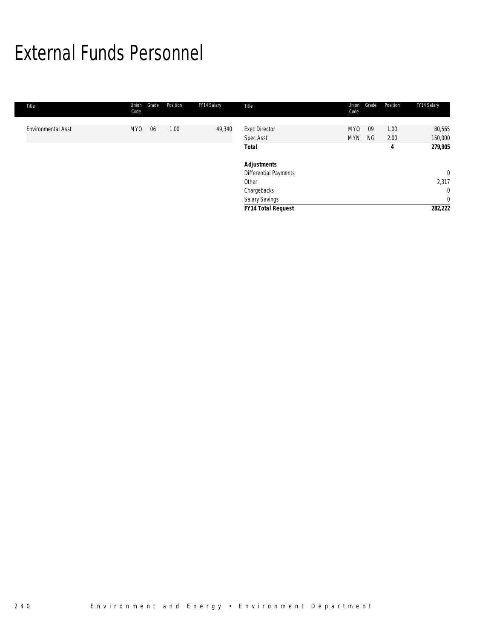# External Funds Personnel

| Title                     | Union<br>Code | Position<br>Grade | FY14 Salary | Title                             | Union<br>Code            | Grade    | Position     | FY14 Salary       |
|---------------------------|---------------|-------------------|-------------|-----------------------------------|--------------------------|----------|--------------|-------------------|
| <b>Environmental Asst</b> | <b>MYO</b>    | 1.00<br>06        | 49,340      | <b>Exec Director</b><br>Spec Asst | <b>MYO</b><br><b>MYN</b> | 09<br>NG | 1.00<br>2.00 | 80,565<br>150,000 |
|                           |               |                   |             | <b>Total</b>                      |                          |          | 4            | 279,905           |
|                           |               |                   |             | <b>Adjustments</b>                |                          |          |              |                   |
|                           |               |                   |             | Differential Payments             |                          |          |              | $\mathbf{0}$      |
|                           |               |                   |             | Other                             |                          |          |              | 2,317             |
|                           |               |                   |             | Chargebacks                       |                          |          |              | $\mathbf 0$       |
|                           |               |                   |             | <b>Salary Savings</b>             |                          |          |              | $\mathbf 0$       |
|                           |               |                   |             | <b>FY14 Total Request</b>         |                          |          |              | 282,222           |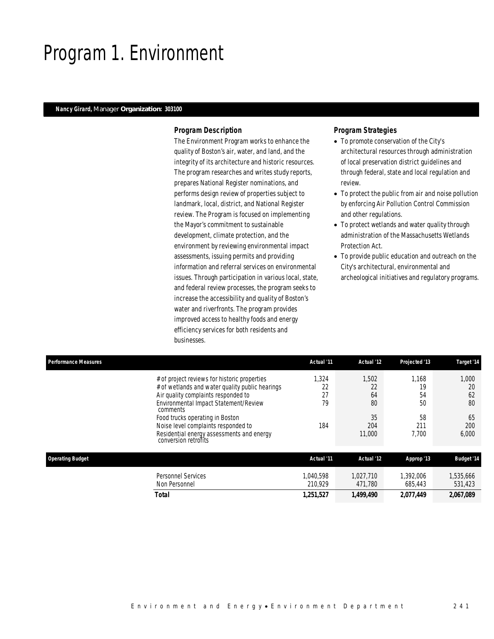## Program 1. Environment

### *Nancy Girard, Manager Organization: 303100*

### *Program Description*

The Environment Program works to enhance the quality of Boston's air, water, and land, and the integrity of its architecture and historic resources. The program researches and writes study reports, prepares National Register nominations, and performs design review of properties subject to landmark, local, district, and National Register review. The Program is focused on implementing the Mayor's commitment to sustainable development, climate protection, and the environment by reviewing environmental impact assessments, issuing permits and providing information and referral services on environmental issues. Through participation in various local, state, and federal review processes, the program seeks to increase the accessibility and quality of Boston's water and riverfronts. The program provides improved access to healthy foods and energy efficiency services for both residents and businesses.

- To promote conservation of the City's architectural resources through administration of local preservation district guidelines and through federal, state and local regulation and review.
- To protect the public from air and noise pollution by enforcing Air Pollution Control Commission and other regulations.
- To protect wetlands and water quality through administration of the Massachusetts Wetlands Protection Act.
- To provide public education and outreach on the City's architectural, environmental and archeological initiatives and regulatory programs.

| <b>Performance Measures</b> |                                                                                                                                                                                                                                                                                                                                            | Actual '11                     | Actual '12                                     | Projected '13                                 | Target '14                                    |
|-----------------------------|--------------------------------------------------------------------------------------------------------------------------------------------------------------------------------------------------------------------------------------------------------------------------------------------------------------------------------------------|--------------------------------|------------------------------------------------|-----------------------------------------------|-----------------------------------------------|
|                             | # of project reviews for historic properties<br># of wetlands and water quality public hearings<br>Air quality complaints responded to<br>Environmental Impact Statement/Review<br>comments<br>Food trucks operating in Boston<br>Noise level complaints responded to<br>Residential energy assessments and energy<br>conversion retrofits | 1,324<br>22<br>27<br>79<br>184 | 1.502<br>22<br>64<br>80<br>35<br>204<br>11,000 | 1.168<br>19<br>54<br>50<br>58<br>211<br>7.700 | 1,000<br>20<br>62<br>80<br>65<br>200<br>6,000 |
| <b>Operating Budget</b>     |                                                                                                                                                                                                                                                                                                                                            | Actual '11                     | Actual '12                                     | Approp '13                                    | <b>Budget '14</b>                             |
|                             | <b>Personnel Services</b><br>Non Personnel                                                                                                                                                                                                                                                                                                 | 1.040.598<br>210.929           | 1.027.710<br>471.780                           | 1.392.006<br>685,443                          | 1,535,666<br>531,423                          |
|                             | <b>Total</b>                                                                                                                                                                                                                                                                                                                               | 1,251,527                      | 1,499,490                                      | 2,077,449                                     | 2.067.089                                     |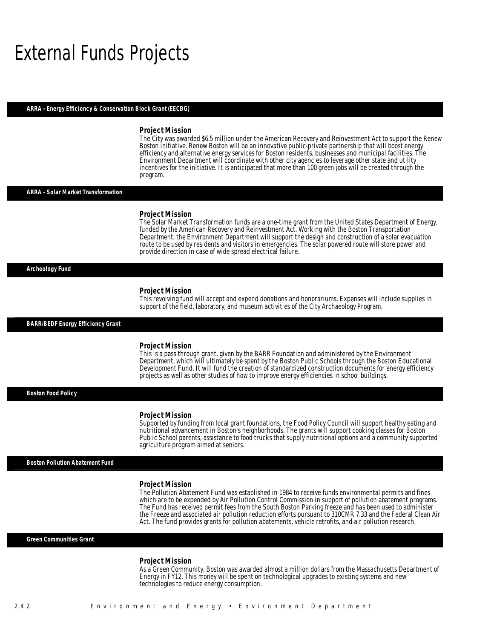## External Funds Projects

### *ARRA - Energy Efficiency & Conservation Block Grant (EECBG)*

### *Project Mission*

The City was awarded \$6.5 million under the American Recovery and Reinvestment Act to support the Renew Boston initiative. Renew Boston will be an innovative public-private partnership that will boost energy efficiency and alternative energy services for Boston residents, businesses and municipal facilities. The Environment Department will coordinate with other city agencies to leverage other state and utility incentives for the initiative. It is anticipated that more than 100 green jobs will be created through the program.

### *ARRA - Solar Market Transformation*

#### *Project Mission*

Î

Î

The Solar Market Transformation funds are a one-time grant from the United States Department of Energy, funded by the American Recovery and Reinvestment Act. Working with the Boston Transportation Department, the Environment Department will support the design and construction of a solar evacuation route to be used by residents and visitors in emergencies. The solar powered route will store power and provide direction in case of wide spread electrical failure. Î

### *Archeology Fund*

#### *Project Mission*

This revolving fund will accept and expend donations and honorariums. Expenses will include supplies in support of the field, laboratory, and museum activities of the City Archaeology Program.

*BARR/BEDF Energy Efficiency Grant* 

### *Project Mission*

This is a pass through grant, given by the BARR Foundation and administered by the Environment Department, which will ultimately be spent by the Boston Public Schools through the Boston Educational Development Fund. It will fund the creation of standardized construction documents for energy efficiency projects as well as other studies of how to improve energy efficiencies in school buildings.

*Boston Food Policy* 

#### *Project Mission*

Supported by funding from local grant foundations, the Food Policy Council will support healthy eating and nutritional advancement in Boston's neighborhoods. The grants will support cooking classes for Boston Public School parents, assistance to food trucks that supply nutritional options and a community supported agriculture program aimed at seniors.

*Boston Pollution Abatement Fund* 

### *Project Mission*

The Pollution Abatement Fund was established in 1984 to receive funds environmental permits and fines which are to be expended by Air Pollution Control Commission in support of pollution abatement programs. The Fund has received permit fees from the South Boston Parking freeze and has been used to administer the Freeze and associated air pollution reduction efforts pursuant to 310CMR 7.33 and the Federal Clean Air Act. The fund provides grants for pollution abatements, vehicle retrofits, and air pollution research.

*Green Communities Grant* 

#### *Project Mission*

As a Green Community, Boston was awarded almost a million dollars from the Massachusetts Department of Energy in FY12. This money will be spent on technological upgrades to existing systems and new technologies to reduce energy consumption.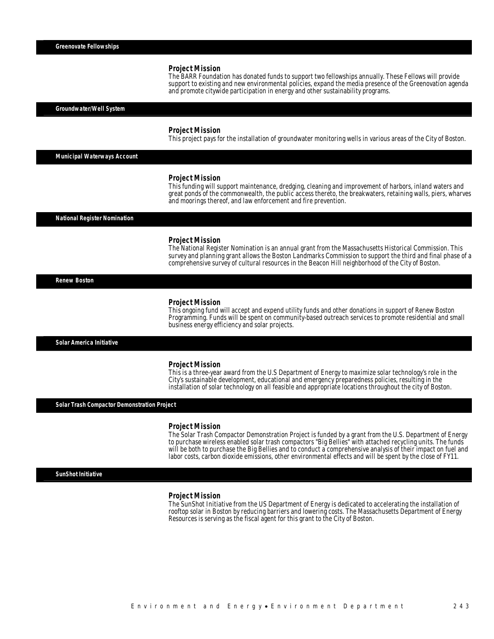#### *Project Mission*

The BARR Foundation has donated funds to support two fellowships annually. These Fellows will provide support to existing and new environmental policies, expand the media presence of the Greenovation agenda and promote citywide participation in energy and other sustainability programs.

#### *Groundwater/Well System*

#### *Project Mission*

This project pays for the installation of groundwater monitoring wells in various areas of the City of Boston.

*Municipal Waterways Account* 

### *Project Mission*

This funding will support maintenance, dredging, cleaning and improvement of harbors, inland waters and great ponds of the commonwealth, the public access thereto, the breakwaters, retaining walls, piers, wharves and moorings thereof, and law enforcement and fire prevention.

*National Register Nomination* 

### *Project Mission*

The National Register Nomination is an annual grant from the Massachusetts Historical Commission. This survey and planning grant allows the Boston Landmarks Commission to support the third and final phase of a comprehensive survey of cultural resources in the Beacon Hill neighborhood of the City of Boston.

*Renew Boston* 

#### *Project Mission*

This ongoing fund will accept and expend utility funds and other donations in support of Renew Boston Programming. Funds will be spent on community-based outreach services to promote residential and small business energy efficiency and solar projects.

*Solar America Initiative* 

### *Project Mission*

This is a three-year award from the U.S Department of Energy to maximize solar technology's role in the City's sustainable development, educational and emergency preparedness policies, resulting in the installation of solar technology on all feasible and appropriate locations throughout the city of Boston.

*Solar Trash Compactor Demonstration Project* 

#### *Project Mission*

The Solar Trash Compactor Demonstration Project is funded by a grant from the U.S. Department of Energy to purchase wireless enabled solar trash compactors "Big Bellies" with attached recycling units. The funds will be both to purchase the Big Bellies and to conduct a comprehensive analysis of their impact on fuel and labor costs, carbon dioxide emissions, other environmental effects and will be spent by the close of FY11.

*SunShot Initiative* 

#### *Project Mission*

The SunShot Initiative from the US Department of Energy is dedicated to accelerating the installation of rooftop solar in Boston by reducing barriers and lowering costs. The Massachusetts Department of Energy Resources is serving as the fiscal agent for this grant to the City of Boston.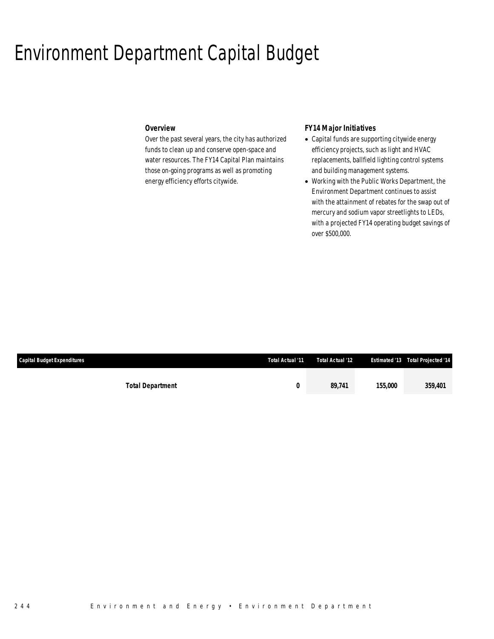## Environment Department Capital Budget

## *Overview*

Over the past several years, the city has authorized funds to clean up and conserve open-space and water resources. The FY14 Capital Plan maintains those on-going programs as well as promoting energy efficiency efforts citywide.

## *FY14 Major Initiatives*

- Capital funds are supporting citywide energy efficiency projects, such as light and HVAC replacements, ballfield lighting control systems and building management systems.
- Working with the Public Works Department, the Environment Department continues to assist with the attainment of rebates for the swap out of mercury and sodium vapor streetlights to LEDs, with a projected FY14 operating budget savings of over \$500,000.

| <b>Capital Budget Expenditures</b> | Total Actual '11 | Total Actual '12 |         | <b>Estimated '13 Total Projected '14</b> |
|------------------------------------|------------------|------------------|---------|------------------------------------------|
|                                    |                  |                  |         |                                          |
| <b>Total Department</b>            |                  | 89.741           | 155,000 | 359,401                                  |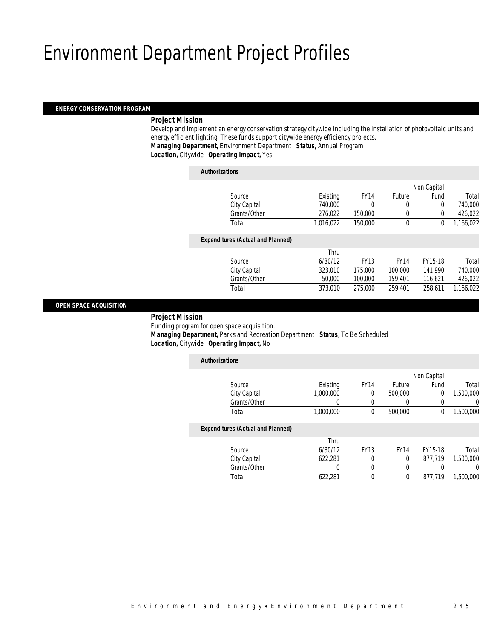## Environment Department Project Profiles

### *ENERGY CONSERVATION PROGRAM*

### *Project Mission*

 Develop and implement an energy conservation strategy citywide including the installation of photovoltaic units and energy efficient lighting. These funds support citywide energy efficiency projects. *Managing Department,* Environment Department *Status,* Annual Program

*Location,* Citywide *Operating Impact,* Yes

| <b>Authorizations</b>                    |           |             |               |             |           |
|------------------------------------------|-----------|-------------|---------------|-------------|-----------|
|                                          |           |             |               | Non Capital |           |
| Source                                   | Existing  | <b>FY14</b> | <b>Future</b> | Fund        | Total     |
| City Capital                             | 740.000   | 0           | 0             | 0           | 740,000   |
| Grants/Other                             | 276,022   | 150,000     | 0             | $\Omega$    | 426,022   |
| Total                                    | 1.016.022 | 150,000     | $\theta$      | 0           | 1,166,022 |
| <b>Expenditures (Actual and Planned)</b> |           |             |               |             |           |
|                                          | Thru      |             |               |             |           |
| Source                                   | 6/30/12   | <b>FY13</b> | <b>FY14</b>   | FY15-18     | Total     |
| City Capital                             | 323,010   | 175,000     | 100,000       | 141,990     | 740,000   |
| Grants/Other                             | 50,000    | 100,000     | 159,401       | 116,621     | 426,022   |
| Total                                    | 373,010   | 275,000     | 259,401       | 258,611     | 1,166,022 |
|                                          |           |             |               |             |           |

### *OPEN SPACE ACQUISITION*

*Project Mission*

Funding program for open space acquisition.

 *Managing Department,* Parks and Recreation Department *Status,* To Be Scheduled*Location,* Citywide *Operating Impact,* No

| <b>Authorizations</b>                    |           |             |             |             |                |
|------------------------------------------|-----------|-------------|-------------|-------------|----------------|
|                                          |           |             |             | Non Capital |                |
| Source                                   | Existing  | <b>FY14</b> | Future      | Fund        | Total          |
| City Capital                             | 1,000,000 | 0           | 500,000     | $\theta$    | 1,500,000      |
| Grants/Other                             | 0         | 0           | 0           | 0           | $\overline{0}$ |
| Total                                    | 1,000,000 | $\theta$    | 500,000     | $\theta$    | 1,500,000      |
| <b>Expenditures (Actual and Planned)</b> |           |             |             |             |                |
|                                          | Thru      |             |             |             |                |
| Source                                   | 6/30/12   | <b>FY13</b> | <b>FY14</b> | FY15-18     | Total          |
| City Capital                             | 622,281   | 0           | 0           | 877.719     | 1,500,000      |
| Grants/Other                             | 0         | 0           | 0           |             | $\overline{0}$ |
| Total                                    | 622.281   | $\Omega$    | 0           | 877.719     | 1,500,000      |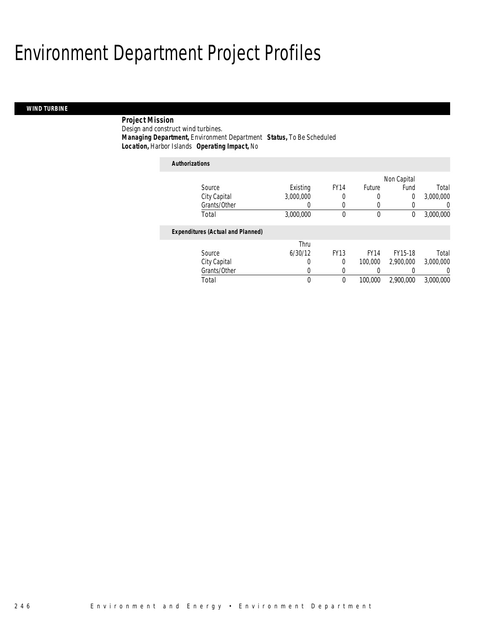# Environment Department Project Profiles

## *WIND TURBINE*

 *Project Mission* Design and construct wind turbines. *Managing Department,* Environment Department *Status,* To Be Scheduled*Location,* Harbor Islands *Operating Impact,* No

| <b>Authorizations</b>                    |           |             |             |             |                  |
|------------------------------------------|-----------|-------------|-------------|-------------|------------------|
|                                          |           |             |             | Non Capital |                  |
| Source                                   | Existing  | <b>FY14</b> | Future      | Fund        | Total            |
| City Capital                             | 3.000.000 | 0           | 0           | 0           | 3,000,000        |
| Grants/Other                             | 0         | 0           | 0           | 0           | $\left( \right)$ |
| Total                                    | 3,000,000 | 0           | $\mathbf 0$ | $\theta$    | 3,000,000        |
| <b>Expenditures (Actual and Planned)</b> |           |             |             |             |                  |
|                                          | Thru      |             |             |             |                  |
| Source                                   | 6/30/12   | <b>FY13</b> | <b>FY14</b> | FY15-18     | Total            |
| City Capital                             | 0         | 0           | 100,000     | 2.900.000   | 3,000,000        |
| Grants/Other                             | 0         | 0           | 0           |             | $\left($         |
| Total                                    | 0         | 0           | 100,000     | 2,900,000   | 3,000,000        |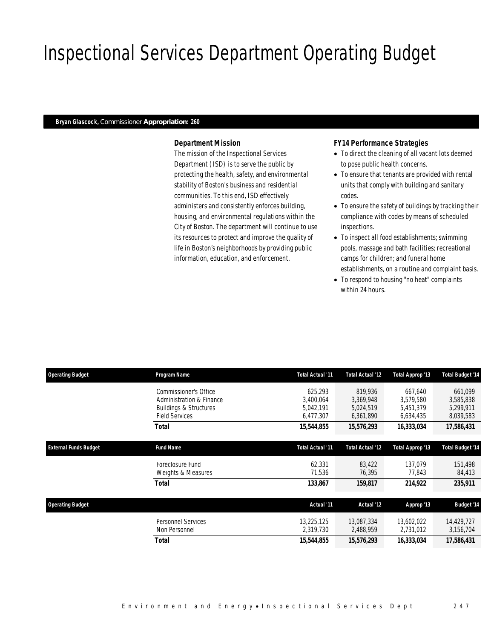# Inspectional Services Department Operating Budget

### *Bryan Glascock, Commissioner Appropriation: 260*

## *Department Mission*

The mission of the Inspectional Services Department (ISD) is to serve the public by protecting the health, safety, and environmental stability of Boston's business and residential communities. To this end, ISD effectively administers and consistently enforces building, housing, and environmental regulations within the City of Boston. The department will continue to use its resources to protect and improve the quality of life in Boston's neighborhoods by providing public information, education, and enforcement.

### *FY14 Performance Strategies*

- To direct the cleaning of all vacant lots deemed to pose public health concerns.
- To ensure that tenants are provided with rental units that comply with building and sanitary codes.
- To ensure the safety of buildings by tracking their compliance with codes by means of scheduled inspections.
- To inspect all food establishments; swimming pools, massage and bath facilities; recreational camps for children; and funeral home
- establishments, on a routine and complaint basis.
- To respond to housing "no heat" complaints within 24 hours.

| <b>Operating Budget</b>      | Program Name                                                                                                    | Total Actual '11                               | Total Actual '12                               | Total Approp '13                               | <b>Total Budget '14</b>                        |
|------------------------------|-----------------------------------------------------------------------------------------------------------------|------------------------------------------------|------------------------------------------------|------------------------------------------------|------------------------------------------------|
|                              | Commissioner's Office<br>Administration & Finance<br><b>Buildings &amp; Structures</b><br><b>Field Services</b> | 625.293<br>3.400.064<br>5,042,191<br>6,477,307 | 819.936<br>3,369,948<br>5,024,519<br>6,361,890 | 667.640<br>3.579.580<br>5,451,379<br>6,634,435 | 661,099<br>3,585,838<br>5,299,911<br>8,039,583 |
|                              | Total                                                                                                           | 15,544,855                                     | 15,576,293                                     | 16,333,034                                     | 17,586,431                                     |
| <b>External Funds Budget</b> | <b>Fund Name</b>                                                                                                | Total Actual '11                               | Total Actual '12                               | Total Approp '13                               | <b>Total Budget '14</b>                        |
|                              | Foreclosure Fund<br>Weights & Measures                                                                          | 62,331<br>71,536                               | 83,422<br>76,395                               | 137,079<br>77.843                              | 151,498<br>84,413                              |
|                              | Total                                                                                                           | 133,867                                        | 159,817                                        | 214,922                                        | 235,911                                        |
| <b>Operating Budget</b>      |                                                                                                                 | Actual '11                                     | Actual '12                                     | Approp '13                                     | <b>Budget '14</b>                              |
|                              | <b>Personnel Services</b><br>Non Personnel                                                                      | 13,225,125<br>2,319,730                        | 13,087,334<br>2,488,959                        | 13,602,022<br>2,731,012                        | 14,429,727<br>3,156,704                        |
|                              | <b>Total</b>                                                                                                    | 15,544,855                                     | 15,576,293                                     | 16,333,034                                     | 17,586,431                                     |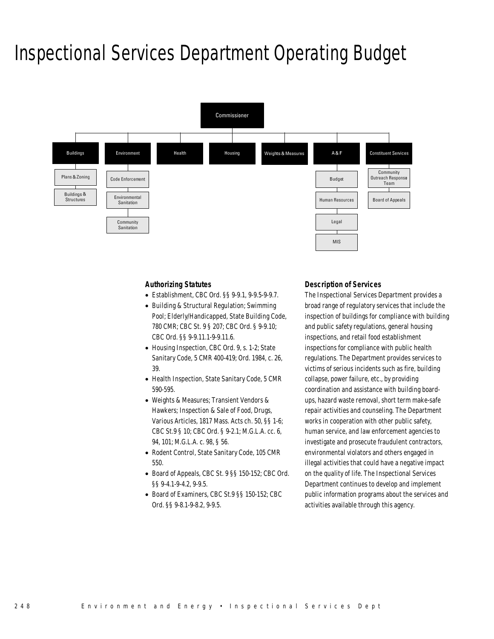## Inspectional Services Department Operating Budget



### *Authorizing Statutes*

- Establishment, CBC Ord. §§ 9-9.1, 9-9.5-9-9.7.
- Building & Structural Regulation; Swimming Pool; Elderly/Handicapped, State Building Code, 780 CMR; CBC St. 9 § 207; CBC Ord. § 9-9.10; CBC Ord. §§ 9-9.11.1-9-9.11.6.
- Housing Inspection, CBC Ord. 9, s. 1-2; State Sanitary Code, 5 CMR 400-419; Ord. 1984, c. 26, 39.
- Health Inspection, State Sanitary Code, 5 CMR 590-595.
- Weights & Measures; Transient Vendors & Hawkers; Inspection & Sale of Food, Drugs, Various Articles, 1817 Mass. Acts ch. 50, §§ 1-6; CBC St.9 § 10; CBC Ord. § 9-2.1; M.G.L.A. cc. 6, 94, 101; M.G.L.A. c. 98, § 56.
- Rodent Control, State Sanitary Code, 105 CMR 550.
- Board of Appeals, CBC St. 9 §§ 150-152; CBC Ord. §§ 9-4.1-9-4.2, 9-9.5.
- Board of Examiners, CBC St.9 §§ 150-152; CBC Ord. §§ 9-8.1-9-8.2, 9-9.5.

### *Description of Services*

The Inspectional Services Department provides a broad range of regulatory services that include the inspection of buildings for compliance with building and public safety regulations, general housing inspections, and retail food establishment inspections for compliance with public health regulations. The Department provides services to victims of serious incidents such as fire, building collapse, power failure, etc., by providing coordination and assistance with building boardups, hazard waste removal, short term make-safe repair activities and counseling. The Department works in cooperation with other public safety, human service, and law enforcement agencies to investigate and prosecute fraudulent contractors, environmental violators and others engaged in illegal activities that could have a negative impact on the quality of life. The Inspectional Services Department continues to develop and implement public information programs about the services and activities available through this agency.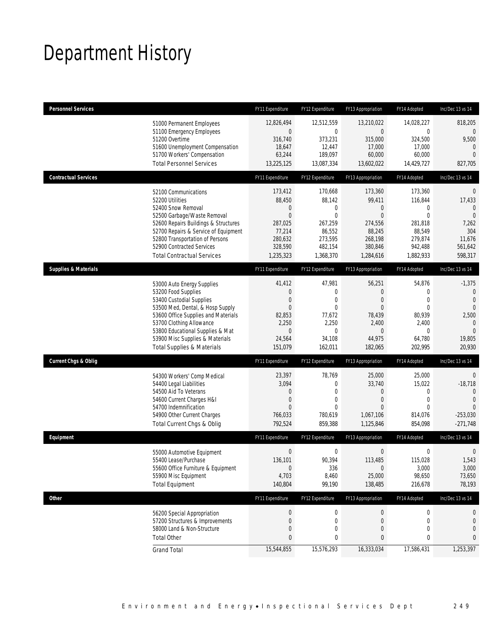# Department History

| <b>Personnel Services</b>       |                                                                                                                                                                                                                                                                                                      | FY11 Expenditure                                                                               | FY12 Expenditure                                                                                 | FY13 Appropriation                                                                                       | FY14 Adopted                                                                                          | Inc/Dec 13 vs 14                                                                                           |
|---------------------------------|------------------------------------------------------------------------------------------------------------------------------------------------------------------------------------------------------------------------------------------------------------------------------------------------------|------------------------------------------------------------------------------------------------|--------------------------------------------------------------------------------------------------|----------------------------------------------------------------------------------------------------------|-------------------------------------------------------------------------------------------------------|------------------------------------------------------------------------------------------------------------|
|                                 | 51000 Permanent Employees<br>51100 Emergency Employees<br>51200 Overtime<br>51600 Unemployment Compensation<br>51700 Workers' Compensation<br><b>Total Personnel Services</b>                                                                                                                        | 12,826,494<br>0<br>316,740<br>18,647<br>63,244<br>13,225,125                                   | 12,512,559<br>0<br>373,231<br>12,447<br>189,097<br>13,087,334                                    | 13,210,022<br>0<br>315,000<br>17,000<br>60,000<br>13,602,022                                             | 14,028,227<br>$\mathbf 0$<br>324,500<br>17,000<br>60,000<br>14,429,727                                | 818,205<br>0<br>9,500<br>$\mathbf{0}$<br>$\Omega$<br>827,705                                               |
| <b>Contractual Services</b>     |                                                                                                                                                                                                                                                                                                      | FY11 Expenditure                                                                               | FY12 Expenditure                                                                                 | FY13 Appropriation                                                                                       | FY14 Adopted                                                                                          | Inc/Dec 13 vs 14                                                                                           |
|                                 | 52100 Communications<br>52200 Utilities<br>52400 Snow Removal<br>52500 Garbage/Waste Removal<br>52600 Repairs Buildings & Structures<br>52700 Repairs & Service of Equipment<br>52800 Transportation of Persons<br>52900 Contracted Services<br><b>Total Contractual Services</b>                    | 173,412<br>88,450<br>0<br>$\mathbf{0}$<br>287,025<br>77,214<br>280,632<br>328,590<br>1,235,323 | 170,668<br>88,142<br>0<br>$\overline{0}$<br>267,259<br>86,552<br>273,595<br>482,154<br>1,368,370 | 173,360<br>99,411<br>$\mathbf 0$<br>$\mathbf{0}$<br>274,556<br>88,245<br>268,198<br>380,846<br>1,284,616 | 173,360<br>116,844<br>0<br>$\overline{0}$<br>281,818<br>88,549<br>279,874<br>942,488<br>1,882,933     | $\mathbf 0$<br>17,433<br>$\mathbf{0}$<br>$\Omega$<br>7,262<br>304<br>11,676<br>561,642<br>598,317          |
| <b>Supplies &amp; Materials</b> |                                                                                                                                                                                                                                                                                                      | FY11 Expenditure                                                                               | FY12 Expenditure                                                                                 | FY13 Appropriation                                                                                       | FY14 Adopted                                                                                          | Inc/Dec 13 vs 14                                                                                           |
|                                 | 53000 Auto Energy Supplies<br>53200 Food Supplies<br>53400 Custodial Supplies<br>53500 Med, Dental, & Hosp Supply<br>53600 Office Supplies and Materials<br>53700 Clothing Allowance<br>53800 Educational Supplies & Mat<br>53900 Misc Supplies & Materials<br><b>Total Supplies &amp; Materials</b> | 41,412<br>0<br>0<br>$\boldsymbol{0}$<br>82,853<br>2,250<br>0<br>24,564<br>151,079              | 47,981<br>0<br>$\mathbf{0}$<br>0<br>77,672<br>2,250<br>0<br>34,108<br>162,011                    | 56,251<br>$\theta$<br>$\theta$<br>$\mathbf{0}$<br>78,439<br>2,400<br>$\theta$<br>44,975<br>182,065       | 54,876<br>$\mathbf{0}$<br>$\overline{0}$<br>$\mathbf{0}$<br>80,939<br>2,400<br>0<br>64,780<br>202,995 | $-1,375$<br>$\mathbf 0$<br>$\overline{0}$<br>$\Omega$<br>2,500<br>$\Omega$<br>$\Omega$<br>19,805<br>20,930 |
| <b>Current Chgs &amp; Oblig</b> |                                                                                                                                                                                                                                                                                                      | FY11 Expenditure                                                                               | FY12 Expenditure                                                                                 | FY13 Appropriation                                                                                       | FY14 Adopted                                                                                          | Inc/Dec 13 vs 14                                                                                           |
|                                 | 54300 Workers' Comp Medical<br>54400 Legal Liabilities<br>54500 Aid To Veterans<br>54600 Current Charges H&I<br>54700 Indemnification<br>54900 Other Current Charges<br>Total Current Chgs & Oblig                                                                                                   | 23,397<br>3,094<br>0<br>0<br>$\Omega$<br>766,033<br>792,524                                    | 78,769<br>$\overline{0}$<br>0<br>0<br>$\Omega$<br>780,619<br>859,388                             | 25,000<br>33,740<br>$\mathbf 0$<br>$\theta$<br>$\Omega$<br>1,067,106<br>1,125,846                        | 25,000<br>15,022<br>0<br>$\mathbf 0$<br>$\Omega$<br>814,076<br>854,098                                | $\overline{0}$<br>$-18,718$<br>$\Omega$<br>$\Omega$<br>$\Omega$<br>$-253,030$<br>$-271,748$                |
| Equipment                       |                                                                                                                                                                                                                                                                                                      | FY11 Expenditure                                                                               | FY12 Expenditure                                                                                 | FY13 Appropriation                                                                                       | FY14 Adopted                                                                                          | Inc/Dec 13 vs 14                                                                                           |
|                                 | 55000 Automotive Equipment<br>55400 Lease/Purchase<br>55600 Office Furniture & Equipment<br>55900 Misc Equipment<br><b>Total Equipment</b>                                                                                                                                                           | $\mathbf 0$<br>136,101<br>$\mathbf 0$<br>4,703<br>140,804                                      | $\mathbf 0$<br>90,394<br>336<br>8,460<br>99,190                                                  | 0<br>113,485<br>$\mathbf 0$<br>25,000<br>138,485                                                         | 0<br>115,028<br>3,000<br>98,650<br>216,678                                                            | 0<br>1,543<br>3,000<br>73,650<br>78,193                                                                    |
| Other                           |                                                                                                                                                                                                                                                                                                      | FY11 Expenditure                                                                               | FY12 Expenditure                                                                                 | FY13 Appropriation                                                                                       | FY14 Adopted                                                                                          | Inc/Dec 13 vs 14                                                                                           |
|                                 | 56200 Special Appropriation<br>57200 Structures & Improvements<br>58000 Land & Non-Structure<br><b>Total Other</b>                                                                                                                                                                                   | $\pmb{0}$<br>0<br>0<br>0                                                                       | $\boldsymbol{0}$<br>$\mathbf 0$<br>0<br>0                                                        | $\boldsymbol{0}$<br>$\mathbf 0$<br>$\mathbf 0$<br>0                                                      | 0<br>0<br>0<br>0                                                                                      | 0<br>0<br>0<br>0                                                                                           |
|                                 | <b>Grand Total</b>                                                                                                                                                                                                                                                                                   | 15,544,855                                                                                     | 15,576,293                                                                                       | 16,333,034                                                                                               | 17,586,431                                                                                            | 1,253,397                                                                                                  |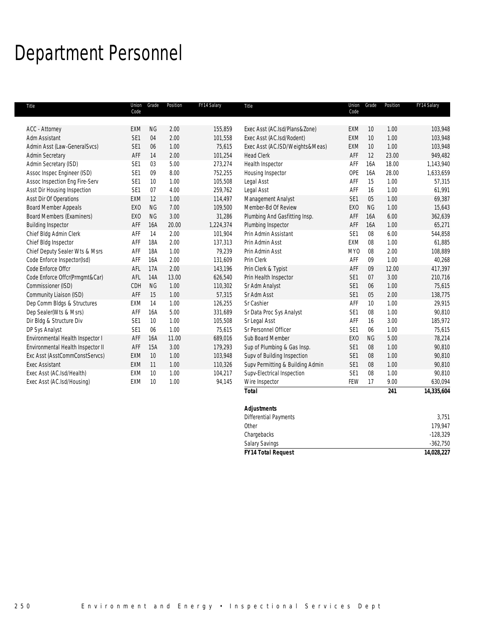# Department Personnel

| Title                                           | Union<br>Code                      | Grade     | Position     | FY14 Salary        | Title                                                | Union<br>Code   | Grade     | Position       | FY14 Salary          |
|-------------------------------------------------|------------------------------------|-----------|--------------|--------------------|------------------------------------------------------|-----------------|-----------|----------------|----------------------|
|                                                 |                                    |           |              |                    |                                                      |                 |           |                |                      |
| <b>ACC - Attorney</b>                           | <b>EXM</b>                         | <b>NG</b> | 2.00         | 155,859            | Exec Asst (AC.Isd/Plans&Zone)                        | EXM             | 10        | 1.00           | 103,948              |
| Adm Assistant                                   | SE1                                | 04        | 2.00         | 101,558            | Exec Asst (AC.Isd/Rodent)                            | EXM             | 10        | 1.00           | 103,948              |
| Admin Asst (Law-GeneralSvcs)                    | SE <sub>1</sub>                    | 06        | 1.00         | 75,615             | Exec Asst (AC.ISD/Weights&Meas)<br><b>Head Clerk</b> | EXM             | 10        | 1.00           | 103,948              |
| <b>Admin Secretary</b><br>Admin Secretary (ISD) | AFF<br>SE <sub>1</sub>             | 14<br>03  | 2.00<br>5.00 | 101,254<br>273,274 |                                                      | AFF<br>AFF      | 12<br>16A | 23.00<br>18.00 | 949,482<br>1,143,940 |
|                                                 |                                    | 09        |              |                    | Health Inspector                                     |                 |           |                |                      |
| Assoc Inspec Engineer (ISD)                     | SE1                                |           | 8.00         | 752,255            | Housing Inspector                                    | OPE             | 16A       | 28.00          | 1,633,659            |
| Assoc Inspection Eng Fire-Serv                  | SE <sub>1</sub><br>SE <sub>1</sub> | 10<br>07  | 1.00<br>4.00 | 105,508            | Legal Asst                                           | AFF<br>AFF      | 15        | 1.00           | 57,315               |
| Asst Dir Housing Inspection                     |                                    |           |              | 259,762            | Legal Asst                                           |                 | 16        | 1.00           | 61,991               |
| Asst Dir Of Operations                          | <b>EXM</b>                         | 12        | 1.00         | 114,497            | Management Analyst                                   | SE <sub>1</sub> | 05        | 1.00           | 69,387               |
| <b>Board Member Appeals</b>                     | <b>EXO</b>                         | <b>NG</b> | 7.00         | 109,500            | Member-Bd Of Review                                  | <b>EXO</b>      | <b>NG</b> | 1.00           | 15,643               |
| <b>Board Members (Examiners)</b>                | EX <sub>0</sub>                    | <b>NG</b> | 3.00         | 31,286             | Plumbing And Gasfitting Insp.                        | AFF             | 16A       | 6.00           | 362,639              |
| <b>Building Inspector</b>                       | AFF                                | 16A       | 20.00        | 1,224,374          | Plumbing Inspector                                   | AFF             | 16A       | 1.00           | 65,271               |
| Chief Bldg Admin Clerk                          | AFF                                | 14        | 2.00         | 101,904            | Prin Admin Assistant                                 | SE <sub>1</sub> | 08        | 6.00           | 544,858              |
| Chief Bldg Inspector                            | AFF                                | 18A       | 2.00         | 137,313            | Prin Admin Asst                                      | EXM             | 08        | 1.00           | 61,885               |
| Chief Deputy Sealer Wts & Msrs                  | AFF                                | 18A       | 1.00         | 79,239             | Prin Admin Asst                                      | MY <sub>0</sub> | 08        | 2.00           | 108,889              |
| Code Enforce Inspector(Isd)                     | AFF                                | 16A       | 2.00         | 131,609            | Prin Clerk                                           | AFF             | 09        | 1.00           | 40,268               |
| Code Enforce Offcr                              | AFL                                | 17A       | 2.00         | 143,196            | Prin Clerk & Typist                                  | AFF             | 09        | 12.00          | 417,397              |
| Code Enforce Offcr(Prmgmt&Car)                  | AFL                                | 14A       | 13.00        | 626,540            | Prin Health Inspector                                | SE <sub>1</sub> | 07        | 3.00           | 210,716              |
| Commissioner (ISD)                              | CDH                                | <b>NG</b> | 1.00         | 110,302            | Sr Adm Analyst                                       | SE <sub>1</sub> | 06        | 1.00           | 75,615               |
| Community Liaison (ISD)                         | AFF                                | 15        | 1.00         | 57,315             | Sr Adm Asst                                          | SE <sub>1</sub> | 05        | 2.00           | 138,775              |
| Dep Comm Bldgs & Structures                     | <b>EXM</b>                         | 14        | 1.00         | 126,255            | Sr Cashier                                           | AFF             | 10        | 1.00           | 29,915               |
| Dep Sealer(Wts & Msrs)                          | AFF                                | 16A       | 5.00         | 331,689            | Sr Data Proc Sys Analyst                             | SE <sub>1</sub> | 08        | 1.00           | 90,810               |
| Dir Bldg & Structure Div                        | SE <sub>1</sub>                    | 10        | 1.00         | 105,508            | Sr Legal Asst                                        | AFF             | 16        | 3.00           | 185,972              |
| DP Sys Analyst                                  | SE <sub>1</sub>                    | 06        | 1.00         | 75,615             | Sr Personnel Officer                                 | SE <sub>1</sub> | 06        | 1.00           | 75,615               |
| Environmental Health Inspector I                | AFF                                | 16A       | 11.00        | 689,016            | Sub Board Member                                     | EX <sub>0</sub> | <b>NG</b> | 5.00           | 78,214               |
| Environmental Health Inspector II               | AFF                                | 15A       | 3.00         | 179,293            | Sup of Plumbing & Gas Insp.                          | SE <sub>1</sub> | 08        | 1.00           | 90,810               |
| Exc Asst (AsstCommConstServcs)                  | <b>EXM</b>                         | 10        | 1.00         | 103,948            | Supv of Building Inspection                          | SE <sub>1</sub> | 08        | 1.00           | 90,810               |
| <b>Exec Assistant</b>                           | <b>EXM</b>                         | 11        | 1.00         | 110,326            | Supv Permitting & Building Admin                     | SE <sub>1</sub> | 08        | 1.00           | 90,810               |
| Exec Asst (AC.Isd/Health)                       | <b>EXM</b>                         | 10        | 1.00         | 104,217            | Supv-Electrical Inspection                           | SE <sub>1</sub> | 08        | 1.00           | 90.810               |
| Exec Asst (AC.Isd/Housing)                      | <b>EXM</b>                         | 10        | 1.00         | 94,145             | Wire Inspector                                       | FEW             | 17        | 9.00           | 630,094              |
|                                                 |                                    |           |              |                    | <b>Total</b>                                         |                 |           | 241            | 14,335,604           |

| <b>FY14 Total Request</b>    | 14,028,227 |
|------------------------------|------------|
| <b>Salary Savings</b>        | $-362,750$ |
| Chargebacks                  | $-128,329$ |
| Other                        | 179,947    |
| <b>Differential Payments</b> | 3,751      |
| <b>Adjustments</b>           |            |
|                              |            |
|                              |            |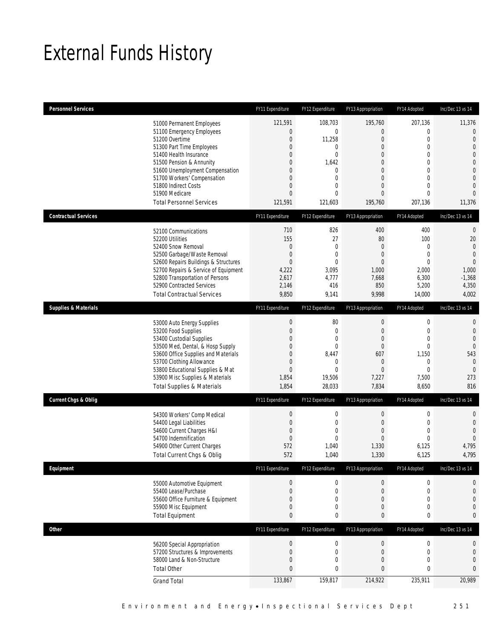# External Funds History

| <b>Personnel Services</b>       |                                                                                                                                                                                                                                                                                                            | FY11 Expenditure                                                                                    | FY12 Expenditure                                                                               | FY13 Appropriation                                                                                                                                                                  | FY14 Adopted                                                                                                                                                        | Inc/Dec 13 vs 14                                                                                                                                                   |
|---------------------------------|------------------------------------------------------------------------------------------------------------------------------------------------------------------------------------------------------------------------------------------------------------------------------------------------------------|-----------------------------------------------------------------------------------------------------|------------------------------------------------------------------------------------------------|-------------------------------------------------------------------------------------------------------------------------------------------------------------------------------------|---------------------------------------------------------------------------------------------------------------------------------------------------------------------|--------------------------------------------------------------------------------------------------------------------------------------------------------------------|
|                                 | 51000 Permanent Employees<br>51100 Emergency Employees<br>51200 Overtime<br>51300 Part Time Employees<br>51400 Health Insurance<br>51500 Pension & Annunity<br>51600 Unemployment Compensation<br>51700 Workers' Compensation<br>51800 Indirect Costs<br>51900 Medicare<br><b>Total Personnel Services</b> | 121,591<br>$\boldsymbol{0}$<br>$\boldsymbol{0}$<br>0<br>0<br>0<br>0<br>0<br>0<br>0<br>121,591       | 108,703<br>0<br>11,258<br>0<br>0<br>1,642<br>0<br>0<br>$\overline{0}$<br>$\theta$<br>121,603   | 195,760<br>$\boldsymbol{0}$<br>$\mathbf 0$<br>$\overline{0}$<br>$\overline{0}$<br>$\overline{0}$<br>$\overline{0}$<br>$\overline{0}$<br>$\overline{0}$<br>$\overline{0}$<br>195,760 | 207,136<br>$\boldsymbol{0}$<br>$\mathbf 0$<br>$\mathbf{0}$<br>$\mathbf{0}$<br>$\mathbf 0$<br>$\mathbf{0}$<br>$\mathbf 0$<br>$\mathbf{0}$<br>$\mathbf{0}$<br>207,136 | 11,376<br>$\mathbf 0$<br>$\mathbf{0}$<br>$\mathbf 0$<br>$\overline{0}$<br>$\overline{0}$<br>$\mathbf 0$<br>$\mathbf{0}$<br>$\mathbf 0$<br>$\overline{0}$<br>11,376 |
| <b>Contractual Services</b>     |                                                                                                                                                                                                                                                                                                            | FY11 Expenditure                                                                                    | FY12 Expenditure                                                                               | FY13 Appropriation                                                                                                                                                                  | FY14 Adopted                                                                                                                                                        | Inc/Dec 13 vs 14                                                                                                                                                   |
|                                 | 52100 Communications<br>52200 Utilities<br>52400 Snow Removal<br>52500 Garbage/Waste Removal<br>52600 Repairs Buildings & Structures<br>52700 Repairs & Service of Equipment<br>52800 Transportation of Persons<br>52900 Contracted Services<br><b>Total Contractual Services</b>                          | 710<br>155<br>$\mathbf 0$<br>$\boldsymbol{0}$<br>$\overline{0}$<br>4,222<br>2,617<br>2,146<br>9,850 | 826<br>27<br>$\mathbf{0}$<br>$\mathbf 0$<br>$\overline{0}$<br>3,095<br>4,777<br>416<br>9,141   | 400<br>80<br>$\overline{0}$<br>$\boldsymbol{0}$<br>$\overline{0}$<br>1,000<br>7,668<br>850<br>9,998                                                                                 | 400<br>100<br>$\mathbf 0$<br>$\mathbf 0$<br>$\mathbf{0}$<br>2,000<br>6,300<br>5,200<br>14,000                                                                       | $\theta$<br>20<br>$\mathbf{0}$<br>$\overline{0}$<br>$\overline{0}$<br>1,000<br>$-1,368$<br>4,350<br>4,002                                                          |
| <b>Supplies &amp; Materials</b> |                                                                                                                                                                                                                                                                                                            | FY11 Expenditure                                                                                    | FY12 Expenditure                                                                               | FY13 Appropriation                                                                                                                                                                  | FY14 Adopted                                                                                                                                                        | Inc/Dec 13 vs 14                                                                                                                                                   |
|                                 | 53000 Auto Energy Supplies<br>53200 Food Supplies<br>53400 Custodial Supplies<br>53500 Med, Dental, & Hosp Supply<br>53600 Office Supplies and Materials<br>53700 Clothing Allowance<br>53800 Educational Supplies & Mat<br>53900 Misc Supplies & Materials<br><b>Total Supplies &amp; Materials</b>       | $\theta$<br>$\boldsymbol{0}$<br>0<br>0<br>0<br>$\mathbf 0$<br>$\boldsymbol{0}$<br>1,854<br>1,854    | 80<br>$\boldsymbol{0}$<br>0<br>0<br>8,447<br>$\mathbf 0$<br>$\overline{0}$<br>19,506<br>28,033 | 0<br>$\boldsymbol{0}$<br>$\overline{0}$<br>$\mathbf 0$<br>607<br>$\theta$<br>$\overline{0}$<br>7,227<br>7,834                                                                       | $\boldsymbol{0}$<br>$\mathbf 0$<br>$\mathbf{0}$<br>$\mathbf{0}$<br>1,150<br>$\mathbf 0$<br>$\mathbf{0}$<br>7,500<br>8,650                                           | $\mathbf 0$<br>$\mathbf{0}$<br>$\mathbf{0}$<br>$\overline{0}$<br>543<br>$\mathbf{0}$<br>$\mathbf 0$<br>273<br>816                                                  |
| <b>Current Chgs &amp; Oblig</b> |                                                                                                                                                                                                                                                                                                            | FY11 Expenditure                                                                                    | FY12 Expenditure                                                                               | FY13 Appropriation                                                                                                                                                                  | FY14 Adopted                                                                                                                                                        | Inc/Dec 13 vs 14                                                                                                                                                   |
|                                 | 54300 Workers' Comp Medical<br>54400 Legal Liabilities<br>54600 Current Charges H&I<br>54700 Indemnification<br>54900 Other Current Charges<br>Total Current Chgs & Oblig                                                                                                                                  | $\boldsymbol{0}$<br>$\boldsymbol{0}$<br>$\overline{0}$<br>$\boldsymbol{0}$<br>572<br>572            | $\boldsymbol{0}$<br>$\boldsymbol{0}$<br>0<br>0<br>1,040<br>1,040                               | $\boldsymbol{0}$<br>$\boldsymbol{0}$<br>$\overline{0}$<br>0<br>1,330<br>1,330                                                                                                       | $\boldsymbol{0}$<br>$\mathbf 0$<br>$\mathbf{0}$<br>$\mathbf{0}$<br>6,125<br>6,125                                                                                   | $\mathbf 0$<br>$\mathbf 0$<br>$\overline{0}$<br>$\theta$<br>4,795<br>4,795                                                                                         |
| Equipment                       |                                                                                                                                                                                                                                                                                                            | FY11 Expenditure                                                                                    | FY12 Expenditure                                                                               | FY13 Appropriation                                                                                                                                                                  | FY14 Adopted                                                                                                                                                        | Inc/Dec 13 vs 14                                                                                                                                                   |
|                                 | 55000 Automotive Equipment<br>55400 Lease/Purchase<br>55600 Office Furniture & Equipment<br>55900 Misc Equipment<br><b>Total Equipment</b>                                                                                                                                                                 | $\boldsymbol{0}$<br>$\boldsymbol{0}$<br>0<br>0<br>0                                                 | 0<br>$\boldsymbol{0}$<br>0<br>0<br>0                                                           | 0<br>$\boldsymbol{0}$<br>0<br>0<br>0                                                                                                                                                | $\boldsymbol{0}$<br>$\boldsymbol{0}$<br>$\mathbf 0$<br>$\boldsymbol{0}$<br>0                                                                                        | 0<br>$\mathbf{0}$<br>$\mathbf 0$<br>$\mathbf 0$<br>0                                                                                                               |
| Other                           |                                                                                                                                                                                                                                                                                                            | FY11 Expenditure                                                                                    | FY12 Expenditure                                                                               | FY13 Appropriation                                                                                                                                                                  | FY14 Adopted                                                                                                                                                        | Inc/Dec 13 vs 14                                                                                                                                                   |
|                                 | 56200 Special Appropriation<br>57200 Structures & Improvements<br>58000 Land & Non-Structure<br><b>Total Other</b><br><b>Grand Total</b>                                                                                                                                                                   | $\boldsymbol{0}$<br>$\boldsymbol{0}$<br>0<br>$\mathbf{0}$<br>133,867                                | $\boldsymbol{0}$<br>0<br>0<br>0<br>159,817                                                     | $\boldsymbol{0}$<br>$\boldsymbol{0}$<br>0<br>$\bf 0$<br>214,922                                                                                                                     | $\boldsymbol{0}$<br>$\mathbf 0$<br>$\mathbf 0$<br>$\pmb{0}$<br>235,911                                                                                              | 0<br>$\mathbf 0$<br>$\mathbf 0$<br>0<br>20,989                                                                                                                     |
|                                 |                                                                                                                                                                                                                                                                                                            |                                                                                                     |                                                                                                |                                                                                                                                                                                     |                                                                                                                                                                     |                                                                                                                                                                    |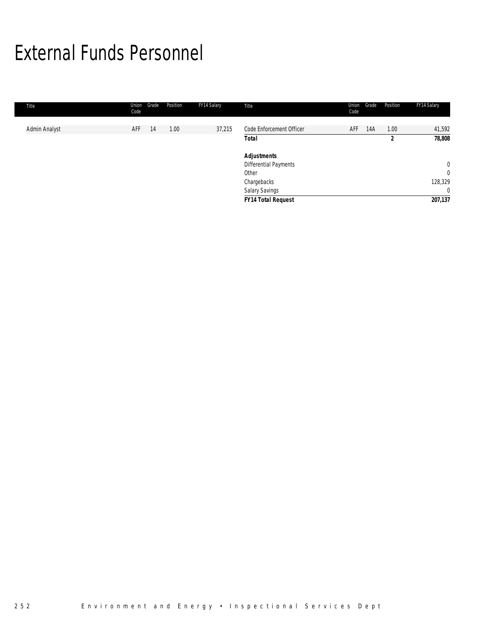# External Funds Personnel

| Title         | Union<br>Code | Grade | Position | FY14 Salary | Title                                                      | Union<br>Code | Grade | Position  | FY14 Salary                          |
|---------------|---------------|-------|----------|-------------|------------------------------------------------------------|---------------|-------|-----------|--------------------------------------|
| Admin Analyst | AFF           | 14    | 1.00     | 37,215      | Code Enforcement Officer<br><b>Total</b>                   | AFF           | 14A   | 1.00<br>2 | 41,592<br>78,808                     |
|               |               |       |          |             | <b>Adjustments</b><br>Differential Payments<br>Other       |               |       |           | $\mathbf{0}$<br>$\mathbf 0$          |
|               |               |       |          |             | Chargebacks<br>Salary Savings<br><b>FY14 Total Request</b> |               |       |           | 128,329<br>$\overline{0}$<br>207,137 |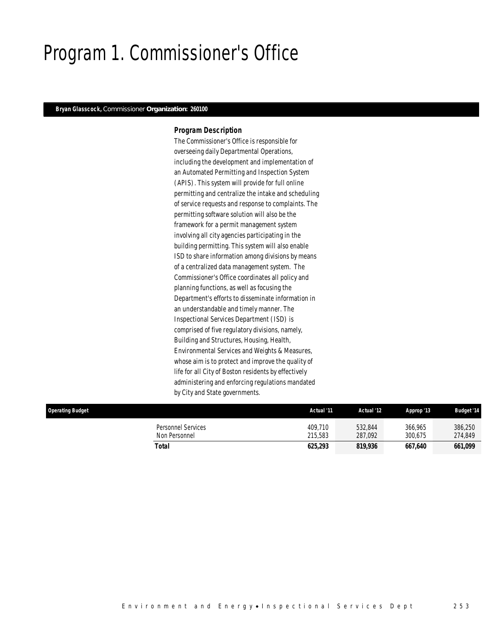## Program 1. Commissioner's Office

### *Bryan Glasscock, Commissioner Or***ga***niz***a***ti***on***: 260100*

### *Program Description*

The Commissioner's Office is responsible for overseeing daily Departmental Operations, including the development and implementation of an Automated Permitting and Inspection System (APIS). This system will provide for full online permitting and centralize the intake and scheduling of service requests and response to complaints. The permitting software solution will also be the framework for a permit management system involving all city agencies participating in the building permitting. This system will also enable ISD to share information among divisions by means of a centralized data management system. The Commissioner's Office coordinates all policy and planning functions, as well as focusing the Department's efforts to disseminate information in an understandable and timely manner. The Inspectional Services Department (ISD) is comprised of five regulatory divisions, namely, Building and Structures, Housing, Health, Environmental Services and Weights & Measures, whose aim is to protect and improve the quality of life for all City of Boston residents by effectively administering and enforcing regulations mandated by City and State governments.

| <b>Operating Budget</b> |                                     | Actual '11         | Actual '12         | Approp '13         | <b>Budget '14</b>  |
|-------------------------|-------------------------------------|--------------------|--------------------|--------------------|--------------------|
|                         | Personnel Services<br>Non Personnel | 409.710<br>215,583 | 532,844<br>287,092 | 366.965<br>300.675 | 386,250<br>274,849 |
|                         | Total                               | 625,293            | 819,936            | 667.640            | 661,099            |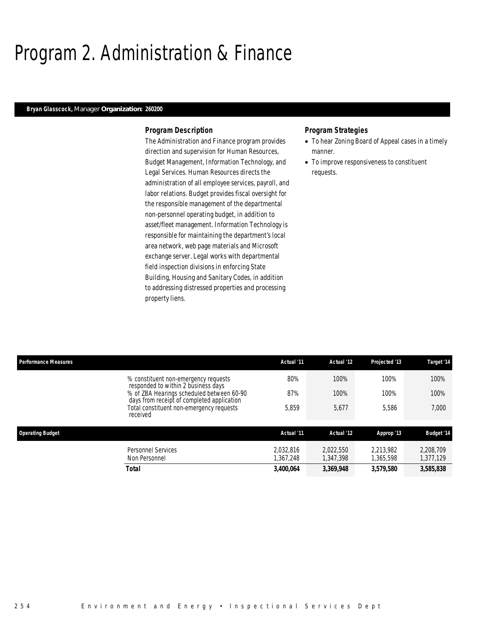# Program 2. Administration & Finance

### *Bryan Glasscock, Manager Organization: 260200*

### *Program Description*

The Administration and Finance program provides direction and supervision for Human Resources, Budget Management, Information Technology, and Legal Services. Human Resources directs the administration of all employee services, payroll, and labor relations. Budget provides fiscal oversight for the responsible management of the departmental non-personnel operating budget, in addition to asset/fleet management. Information Technology is responsible for maintaining the department's local area network, web page materials and Microsoft exchange server. Legal works with departmental field inspection divisions in enforcing State Building, Housing and Sanitary Codes, in addition to addressing distressed properties and processing property liens.

- To hear Zoning Board of Appeal cases in a timely manner.
- To improve responsiveness to constituent requests.

| <b>Performance Measures</b>                                                             | Actual '11             | Actual '12             | Projected '13          | Target '14             |
|-----------------------------------------------------------------------------------------|------------------------|------------------------|------------------------|------------------------|
| % constituent non-emergency requests<br>responded to within 2 business days             | 80%                    | 100%                   | 100%                   | 100%                   |
| % of ZBA Hearings scheduled between 60-90<br>days from receipt of completed application | 87%                    | 100%                   | 100%                   | 100%                   |
| Total constituent non-emergency requests<br>received                                    | 5,859                  | 5,677                  | 5.586                  | 7,000                  |
| <b>Operating Budget</b>                                                                 | Actual '11             | Actual '12             | Approp '13             | <b>Budget '14</b>      |
| Personnel Services<br>Non Personnel                                                     | 2.032.816<br>1,367,248 | 2.022.550<br>1,347,398 | 2.213.982<br>1.365.598 | 2,208,709<br>1,377,129 |
| Total                                                                                   | 3,400,064              | 3,369,948              | 3,579,580              | 3,585,838              |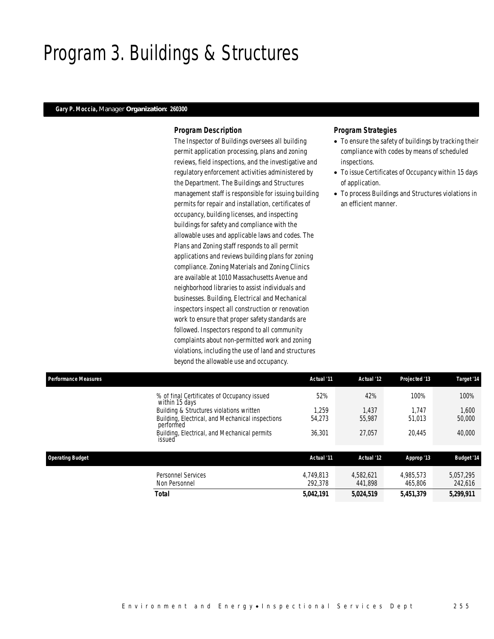## Program 3. Buildings & Structures

### *Gary P. Moccia, Manager Organization: 260300*

### *Program Description*

The Inspector of Buildings oversees all building permit application processing, plans and zoning reviews, field inspections, and the investigative and regulatory enforcement activities administered by the Department. The Buildings and Structures management staff is responsible for issuing building permits for repair and installation, certificates of occupancy, building licenses, and inspecting buildings for safety and compliance with the allowable uses and applicable laws and codes. The Plans and Zoning staff responds to all permit applications and reviews building plans for zoning compliance. Zoning Materials and Zoning Clinics are available at 1010 Massachusetts Avenue and neighborhood libraries to assist individuals and businesses. Building, Electrical and Mechanical inspectors inspect all construction or renovation work to ensure that proper safety standards are followed. Inspectors respond to all community complaints about non-permitted work and zoning violations, including the use of land and structures beyond the allowable use and occupancy.

- To ensure the safety of buildings by tracking their compliance with codes by means of scheduled inspections.
- To issue Certificates of Occupancy within 15 days of application.
- To process Buildings and Structures violations in an efficient manner.

| <b>Performance Measures</b> |                                                               | Actual '11           | Actual '12           | Projected '13        | Target '14           |
|-----------------------------|---------------------------------------------------------------|----------------------|----------------------|----------------------|----------------------|
|                             | % of final Certificates of Occupancy issued<br>within 15 days | 52%                  | 42%                  | 100%                 | 100%                 |
|                             | Building & Structures violations written                      | 1.259                | 1.437                | 1.747                | 1,600                |
|                             | Building, Electrical, and Mechanical inspections<br>performed | 54,273               | 55,987               | 51,013               | 50,000               |
|                             | Building, Electrical, and Mechanical permits<br>issued        | 36.301               | 27.057               | 20.445               | 40,000               |
| <b>Operating Budget</b>     |                                                               | Actual '11           | Actual '12           | Approp '13           | <b>Budget '14</b>    |
|                             | <b>Personnel Services</b><br>Non Personnel                    | 4.749.813<br>292.378 | 4.582.621<br>441.898 | 4.985.573<br>465,806 | 5.057.295<br>242,616 |
|                             | Total                                                         | 5.042.191            | 5.024.519            | 5.451.379            | 5,299,911            |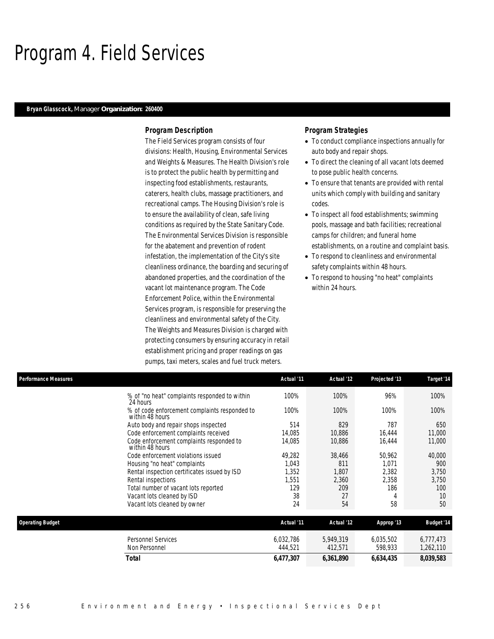## Program 4. Field Services

### *Bryan Glasscock, Manager Organization: 260400*

## *Program Description*

The Field Services program consists of four divisions: Health, Housing, Environmental Services and Weights & Measures. The Health Division's role is to protect the public health by permitting and inspecting food establishments, restaurants, caterers, health clubs, massage practitioners, and recreational camps. The Housing Division's role is to ensure the availability of clean, safe living conditions as required by the State Sanitary Code. The Environmental Services Division is responsible for the abatement and prevention of rodent infestation, the implementation of the City's site cleanliness ordinance, the boarding and securing of abandoned properties, and the coordination of the vacant lot maintenance program. The Code Enforcement Police, within the Environmental Services program, is responsible for preserving the cleanliness and environmental safety of the City. The Weights and Measures Division is charged with protecting consumers by ensuring accuracy in retail establishment pricing and proper readings on gas pumps, taxi meters, scales and fuel truck meters.

- To conduct compliance inspections annually for auto body and repair shops.
- To direct the cleaning of all vacant lots deemed to pose public health concerns.
- To ensure that tenants are provided with rental units which comply with building and sanitary codes.
- To inspect all food establishments; swimming pools, massage and bath facilities; recreational camps for children; and funeral home establishments, on a routine and complaint basis.
- To respond to cleanliness and environmental safety complaints within 48 hours.
- To respond to housing "no heat" complaints within 24 hours.

| Performance Measures                                             | Actual '11 | Actual '12 | Projected '13 | Target '14        |
|------------------------------------------------------------------|------------|------------|---------------|-------------------|
| % of "no heat" complaints responded to within<br>24 hours        | 100%       | 100%       | 96%           | 100%              |
| % of code enforcement complaints responded to<br>within 48 hours | 100%       | 100%       | 100%          | 100%              |
| Auto body and repair shops inspected                             | 514        | 829        | 787           | 650               |
| Code enforcement complaints received                             | 14.085     | 10.886     | 16,444        | 11,000            |
| Code enforcement complaints responded to<br>within 48 hours      | 14,085     | 10,886     | 16,444        | 11,000            |
| Code enforcement violations issued                               | 49,282     | 38,466     | 50,962        | 40,000            |
| Housing "no heat" complaints                                     | 1,043      | 811        | 1,071         | 900               |
| Rental inspection certificates issued by ISD                     | 1,352      | 1,807      | 2,382         | 3,750             |
| Rental inspections                                               | 1,551      | 2,360      | 2,358         | 3,750             |
| Total number of vacant lots reported                             | 129        | 209        | 186           | 100               |
| Vacant lots cleaned by ISD                                       | 38         | 27         | 4             | 10                |
| Vacant lots cleaned by owner                                     | 24         | 54         | 58            | 50                |
| <b>Operating Budget</b>                                          | Actual '11 | Actual '12 | Approp '13    | <b>Budget '14</b> |
| <b>Personnel Services</b>                                        | 6,032,786  | 5,949,319  | 6,035,502     | 6,777,473         |
| Non Personnel                                                    | 444,521    | 412,571    | 598,933       | 1,262,110         |
| Total                                                            | 6,477,307  | 6,361,890  | 6,634,435     | 8,039,583         |